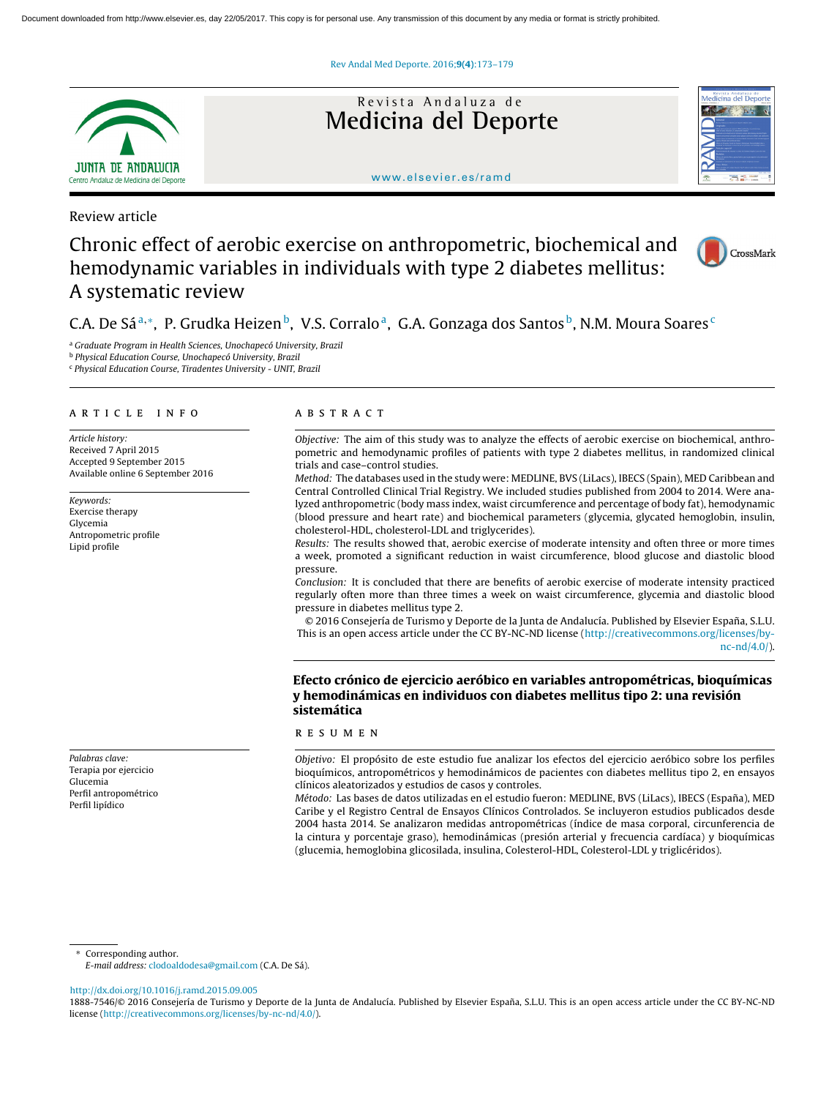Rev Andal Med Deporte. 2016;9(4)[:173–179](dx.doi.org/10.1016/j.ramd.2015.09.005)



Revista Andaluza de **Medicina del Deporte**



#### <www.elsevier.es/ramd>

# Review article

# Chronic effect of aerobic exercise on anthropometric, biochemical and hemodynamic variables in individuals with type 2 diabetes mellitus: A systematic review



# C.A. De Sáª,\*, P. Grudka Heizen b, V.S. Corralo ª, G.A. Gonzaga dos Santos b, N.M. Moura Soares <sup>c</sup>

<sup>a</sup> Graduate Program in Health Sciences, Unochapecó University, Brazil

<sup>b</sup> Physical Education Course, Unochapecó University, Brazil

<sup>c</sup> Physical Education Course, Tiradentes University - UNIT, Brazil

#### a r t i c l e i n f o

Article history: Received 7 April 2015 Accepted 9 September 2015 Available online 6 September 2016

Keywords: Exercise therapy Glycemia Antropometric profile Lipid profile

Palabras clave: Terapia por ejercicio Glucemia Perfil antropométrico Perfil lipídico

# A B S T R A C T

Objective: The aim of this study was to analyze the effects of aerobic exercise on biochemical, anthropometric and hemodynamic profiles of patients with type 2 diabetes mellitus, in randomized clinical trials and case–control studies.

Method: The databases used in the study were: MEDLINE, BVS (LiLacs), IBECS (Spain), MED Caribbean and Central Controlled Clinical Trial Registry. We included studies published from 2004 to 2014. Were analyzed anthropometric (body mass index, waist circumference and percentage of body fat), hemodynamic (blood pressure and heart rate) and biochemical parameters (glycemia, glycated hemoglobin, insulin, cholesterol-HDL, cholesterol-LDL and triglycerides).

Results: The results showed that, aerobic exercise of moderate intensity and often three or more times a week, promoted a significant reduction in waist circumference, blood glucose and diastolic blood pressure.

Conclusion: It is concluded that there are benefits of aerobic exercise of moderate intensity practiced regularly often more than three times a week on waist circumference, glycemia and diastolic blood pressure in diabetes mellitus type 2.

© 2016 Consejería de Turismo y Deporte de la Junta de Andalucía. Published by Elsevier España, S.L.U. This is an open access article under the CC BY-NC-ND license [\(http://creativecommons.org/licenses/by](http://creativecommons.org/licenses/by-nc-nd/4.0/) $nc-nd/4.0/$ ).

# Efecto crónico de ejercicio aeróbico en variables antropométricas, bioquímicas y hemodinámicas en individuos con diabetes mellitus tipo 2: una revisión sistemática

### r e s u m e n

Objetivo: El propósito de este estudio fue analizar los efectos del ejercicio aeróbico sobre los perfiles bioquímicos, antropométricos y hemodinámicos de pacientes con diabetes mellitus tipo 2, en ensayos clínicos aleatorizados y estudios de casos y controles.

Método: Las bases de datos utilizadas en el estudio fueron: MEDLINE, BVS (LiLacs), IBECS (España), MED Caribe y el Registro Central de Ensayos Clínicos Controlados. Se incluyeron estudios publicados desde 2004 hasta 2014. Se analizaron medidas antropométricas (índice de masa corporal, circunferencia de la cintura y porcentaje graso), hemodinámicas (presión arterial y frecuencia cardíaca) y bioquímicas (glucemia, hemoglobina glicosilada, insulina, Colesterol-HDL, Colesterol-LDL y triglicéridos).

Corresponding author.

E-mail address: [clodoaldodesa@gmail.com](mailto:clodoaldodesa@gmail.com) (C.A. De Sá).

[http://dx.doi.org/10.1016/j.ramd.2015.09.005](dx.doi.org/10.1016/j.ramd.2015.09.005)

<sup>1888-7546/© 2016</sup> Consejería de Turismo y Deporte de la Junta de Andalucía. Published by Elsevier España, S.L.U. This is an open access article under the CC BY-NC-ND license ([http://creativecommons.org/licenses/by-nc-nd/4.0/\)](http://creativecommons.org/licenses/by-nc-nd/4.0/).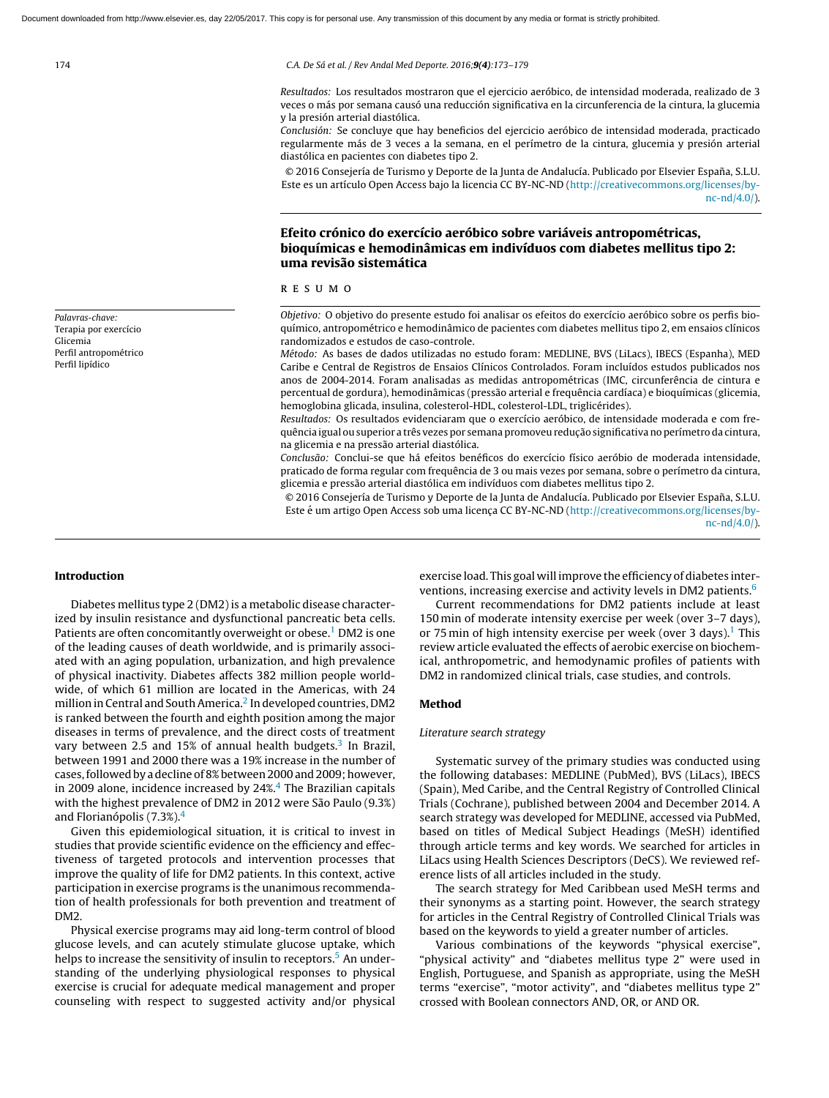174 C.A. De Sá et al. / Rev Andal Med Deporte. 2016;9(4):173–179

Resultados: Los resultados mostraron que el ejercicio aeróbico, de intensidad moderada, realizado de 3 veces o más por semana causó una reducción significativa en la circunferencia de la cintura, la glucemia y la presión arterial diastólica.

Conclusión: Se concluye que hay beneficios del ejercicio aeróbico de intensidad moderada, practicado regularmente más de 3 veces a la semana, en el perímetro de la cintura, glucemia y presión arterial diastólica en pacientes con diabetes tipo 2.

© 2016 Consejería de Turismo y Deporte de la Junta de Andalucía. Publicado por Elsevier España, S.L.U. Este es un artículo Open Access bajo la licencia CC BY-NC-ND ([http://creativecommons.org/licenses/by](http://creativecommons.org/licenses/by-nc-nd/4.0/)[nc-nd/4.0/](http://creativecommons.org/licenses/by-nc-nd/4.0/)).

# Efeito crónico do exercício aeróbico sobre variáveis antropométricas, bioquímicas e hemodinâmicas em indivíduos com diabetes mellitus tipo 2: uma revisão sistemática

#### r e s u m o

Objetivo: O objetivo do presente estudo foi analisar os efeitos do exercício aeróbico sobre os perfis bioquímico, antropométrico e hemodinâmico de pacientes com diabetes mellitus tipo 2, em ensaios clínicos randomizados e estudos de caso-controle.

Método: As bases de dados utilizadas no estudo foram: MEDLINE, BVS (LiLacs), IBECS (Espanha), MED Caribe e Central de Registros de Ensaios Clínicos Controlados. Foram incluídos estudos publicados nos anos de 2004-2014. Foram analisadas as medidas antropométricas (IMC, circunferência de cintura e percentual de gordura), hemodinâmicas (pressão arterial e frequência cardíaca) e bioquímicas (glicemia, hemoglobina glicada, insulina, colesterol-HDL, colesterol-LDL, triglicérides).

Resultados: Os resultados evidenciaram que o exercício aeróbico, de intensidade moderada e com frequência igual ou superior a três vezes por semana promoveu redução significativa no perímetro da cintura, na glicemia e na pressão arterial diastólica.

Conclusão: Conclui-se que há efeitos benéficos do exercício físico aeróbio de moderada intensidade, praticado de forma regular com frequência de 3 ou mais vezes por semana, sobre o perímetro da cintura, glicemia e pressão arterial diastólica em indivíduos com diabetes mellitus tipo 2.

© 2016 Consejería de Turismo y Deporte de la Junta de Andalucía. Publicado por Elsevier España, S.L.U. Este é um artigo Open Access sob uma licença CC BY-NC-ND ([http://creativecommons.org/licenses/by](http://creativecommons.org/licenses/by-nc-nd/4.0/)[nc-nd/4.0/](http://creativecommons.org/licenses/by-nc-nd/4.0/)).

Palavras-chave: Terapia por exercício Glicemia Perfil antropométrico Perfil lipídico

#### Introduction

Diabetes mellitus type 2 (DM2) is a metabolic disease characterized by insulin resistance and dysfunctional pancreatic beta cells. Patients are often concomitantly overweight or obese.<sup>1</sup> [D](#page-6-0)M2 is one of the leading causes of death worldwide, and is primarily associated with an aging population, urbanization, and high prevalence of physical inactivity. Diabetes affects 382 million people worldwide, of which 61 million are located in the Americas, with 24 million in Central and South America.<sup>2</sup> [In](#page-6-0) developed countries, DM2 is ranked between the fourth and eighth position among the major diseases in terms of prevalence, and the direct costs of treatment vary between 2.5 and 15% of annual health budgets.<sup>[3](#page-6-0)</sup> In Brazil, between 1991 and 2000 there was a 19% increase in the number of cases, followed by a decline of 8% between 2000 and 2009; however, in 2009 alone, incidence increased by  $24\%$  $24\%$  $24\%$ .<sup>4</sup> The Brazilian capitals with the highest prevalence of DM2 in 2012 were São Paulo (9.3%) and Florianópolis (7.3%).[4](#page-6-0)

Given this epidemiological situation, it is critical to invest in studies that provide scientific evidence on the efficiency and effectiveness of targeted protocols and intervention processes that improve the quality of life for DM2 patients. In this context, active participation in exercise programs is the unanimous recommendation of health professionals for both prevention and treatment of DM2.

Physical exercise programs may aid long-term control of blood glucose levels, and can acutely stimulate glucose uptake, which helps to increase the sensitivity of insulin to receptors.<sup>[5](#page-6-0)</sup> An understanding of the underlying physiological responses to physical exercise is crucial for adequate medical management and proper counseling with respect to suggested activity and/or physical

exercise load. This goal will improve the efficiency of diabetes inter-ventions, increasing exercise and activity levels in DM2 patients.<sup>[6](#page-6-0)</sup>

Current recommendations for DM2 patients include at least 150 min of moderate intensity exercise per week (over 3–7 days), or 75 min of high intensity exercise per week (over 3 days).<sup>1</sup> [T](#page-6-0)his review article evaluated the effects of aerobic exercise on biochemical, anthropometric, and hemodynamic profiles of patients with DM2 in randomized clinical trials, case studies, and controls.

#### Method

#### Literature search strategy

Systematic survey of the primary studies was conducted using the following databases: MEDLINE (PubMed), BVS (LiLacs), IBECS (Spain), Med Caribe, and the Central Registry of Controlled Clinical Trials (Cochrane), published between 2004 and December 2014. A search strategy was developed for MEDLINE, accessed via PubMed, based on titles of Medical Subject Headings (MeSH) identified through article terms and key words. We searched for articles in LiLacs using Health Sciences Descriptors (DeCS). We reviewed reference lists of all articles included in the study.

The search strategy for Med Caribbean used MeSH terms and their synonyms as a starting point. However, the search strategy for articles in the Central Registry of Controlled Clinical Trials was based on the keywords to yield a greater number of articles.

Various combinations of the keywords "physical exercise", "physical activity" and "diabetes mellitus type 2" were used in English, Portuguese, and Spanish as appropriate, using the MeSH terms "exercise", "motor activity", and "diabetes mellitus type 2" crossed with Boolean connectors AND, OR, or AND OR.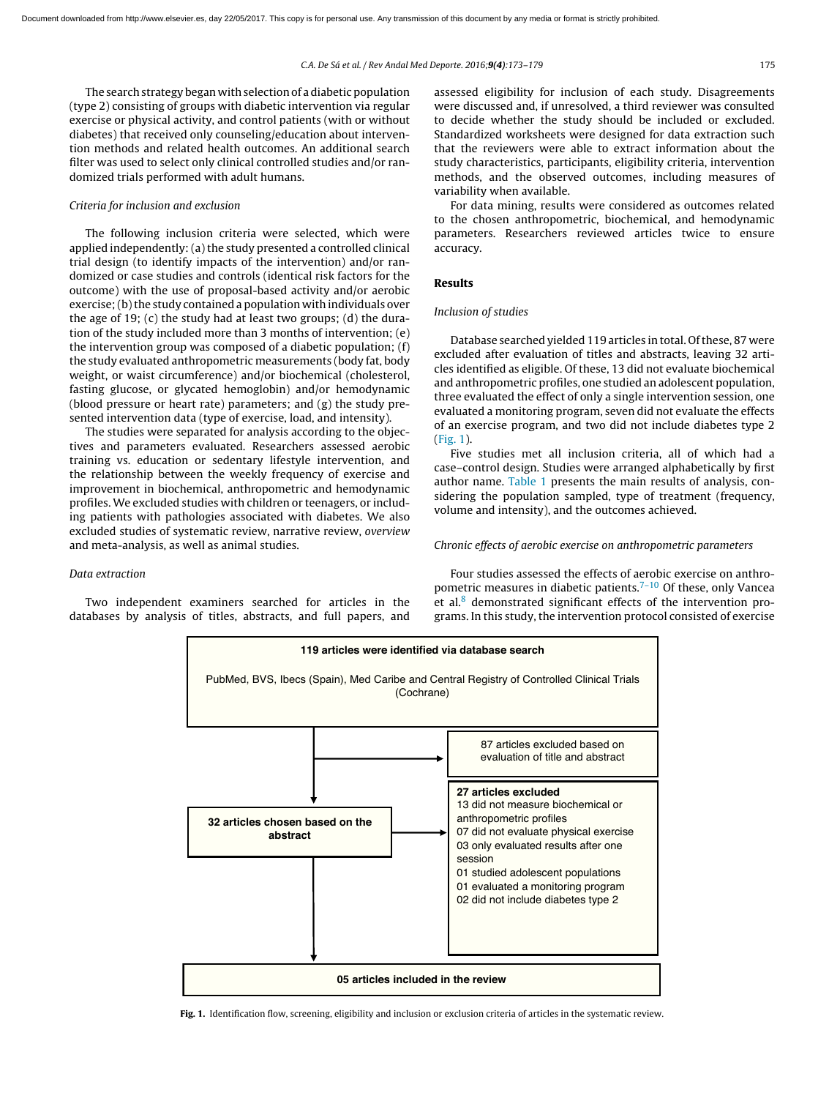The search strategy began with selection of a diabetic population (type 2) consisting of groups with diabetic intervention via regular exercise or physical activity, and control patients (with or without diabetes) that received only counseling/education about intervention methods and related health outcomes. An additional search filter was used to select only clinical controlled studies and/or randomized trials performed with adult humans.

#### Criteria for inclusion and exclusion

The following inclusion criteria were selected, which were applied independently: (a) the study presented a controlled clinical trial design (to identify impacts of the intervention) and/or randomized or case studies and controls (identical risk factors for the outcome) with the use of proposal-based activity and/or aerobic exercise; (b) the study contained a population with individuals over the age of 19; (c) the study had at least two groups; (d) the duration of the study included more than 3 months of intervention; (e) the intervention group was composed of a diabetic population; (f) the study evaluated anthropometric measurements (body fat, body weight, or waist circumference) and/or biochemical (cholesterol, fasting glucose, or glycated hemoglobin) and/or hemodynamic (blood pressure or heart rate) parameters; and (g) the study presented intervention data (type of exercise, load, and intensity).

The studies were separated for analysis according to the objectives and parameters evaluated. Researchers assessed aerobic training vs. education or sedentary lifestyle intervention, and the relationship between the weekly frequency of exercise and improvement in biochemical, anthropometric and hemodynamic profiles. We excluded studies with children or teenagers, or including patients with pathologies associated with diabetes. We also excluded studies of systematic review, narrative review, overview and meta-analysis, as well as animal studies.

# Data extraction

Two independent examiners searched for articles in the databases by analysis of titles, abstracts, and full papers, and assessed eligibility for inclusion of each study. Disagreements were discussed and, if unresolved, a third reviewer was consulted to decide whether the study should be included or excluded. Standardized worksheets were designed for data extraction such that the reviewers were able to extract information about the study characteristics, participants, eligibility criteria, intervention methods, and the observed outcomes, including measures of variability when available.

For data mining, results were considered as outcomes related to the chosen anthropometric, biochemical, and hemodynamic parameters. Researchers reviewed articles twice to ensure accuracy.

# Results

#### Inclusion of studies

Database searched yielded 119 articles in total. Of these, 87 were excluded after evaluation of titles and abstracts, leaving 32 articles identified as eligible. Of these, 13 did not evaluate biochemical and anthropometric profiles, one studied an adolescent population, three evaluated the effect of only a single intervention session, one evaluated a monitoring program, seven did not evaluate the effects of an exercise program, and two did not include diabetes type 2 (Fig. 1).

Five studies met all inclusion criteria, all of which had a case–control design. Studies were arranged alphabetically by first author name. [Table](#page-3-0) 1 presents the main results of analysis, considering the population sampled, type of treatment (frequency, volume and intensity), and the outcomes achieved.

#### Chronic effects of aerobic exercise on anthropometric parameters

Four studies assessed the effects of aerobic exercise on anthro-pometric measures in diabetic patients.<sup>[7–10](#page-6-0)</sup> Of these, only Vancea et al. $8$  demonstrated significant effects of the intervention programs. In this study, the intervention protocol consisted of exercise



Fig. 1. Identification flow, screening, eligibility and inclusion or exclusion criteria of articles in the systematic review.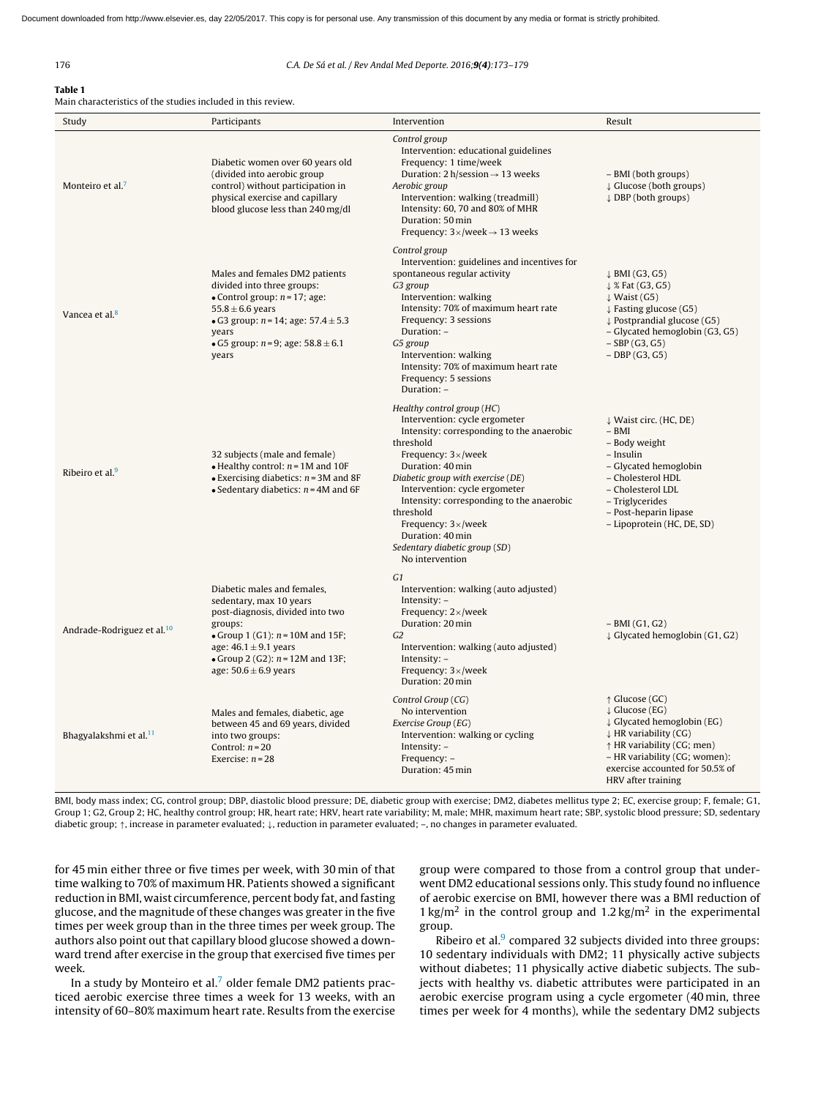#### <span id="page-3-0"></span>176 C.A. De Sá et al. / Rev Andal Med Deporte. 2016;9(4):173–179

Table 1 Main characteristics of the studies included in this review.

| Study                                  | Participants                                                                                                                                                                                                                                | Intervention                                                                                                                                                                                                                                                                                                                                                                                                    | Result                                                                                                                                                                                                                                         |
|----------------------------------------|---------------------------------------------------------------------------------------------------------------------------------------------------------------------------------------------------------------------------------------------|-----------------------------------------------------------------------------------------------------------------------------------------------------------------------------------------------------------------------------------------------------------------------------------------------------------------------------------------------------------------------------------------------------------------|------------------------------------------------------------------------------------------------------------------------------------------------------------------------------------------------------------------------------------------------|
| Monteiro et al. <sup>7</sup>           | Diabetic women over 60 years old<br>(divided into aerobic group<br>control) without participation in<br>physical exercise and capillary<br>blood glucose less than 240 mg/dl                                                                | Control group<br>Intervention: educational guidelines<br>Frequency: 1 time/week<br>Duration: $2 h/$ session $\rightarrow$ 13 weeks<br>Aerobic group<br>Intervention: walking (treadmill)<br>Intensity: 60, 70 and 80% of MHR<br>Duration: 50 min<br>Frequency: $3 \times$ /week $\rightarrow$ 13 weeks                                                                                                          | - BMI (both groups)<br>$\downarrow$ Glucose (both groups)<br>$\downarrow$ DBP (both groups)                                                                                                                                                    |
| Vancea et al. <sup>8</sup>             | Males and females DM2 patients<br>divided into three groups:<br>• Control group: $n = 17$ ; age:<br>$55.8 \pm 6.6$ years<br>• G3 group: $n = 14$ ; age: 57.4 $\pm$ 5.3<br>years<br>• G5 group: $n = 9$ ; age: 58.8 $\pm$ 6.1<br>years       | Control group<br>Intervention: guidelines and incentives for<br>spontaneous regular activity<br>G3 group<br>Intervention: walking<br>Intensity: 70% of maximum heart rate<br>Frequency: 3 sessions<br>Duration: -<br>G5 group<br>Intervention: walking<br>Intensity: 70% of maximum heart rate<br>Frequency: 5 sessions<br>Duration: -                                                                          | $\downarrow$ BMI (G3, G5)<br>$\downarrow$ % Fat (G3, G5)<br>$\downarrow$ Waist (G5)<br>$\downarrow$ Fasting glucose (G5)<br>$\downarrow$ Postprandial glucose (G5)<br>- Glycated hemoglobin (G3, G5)<br>$-$ SBP (G3, G5)<br>$-$ DBP (G3, G5)   |
| Ribeiro et al. <sup>9</sup>            | 32 subjects (male and female)<br>• Healthy control: $n = 1M$ and 10F<br>$\bullet$ Exercising diabetics: $n = 3M$ and 8F<br>• Sedentary diabetics: $n = 4M$ and 6F                                                                           | Healthy control group (HC)<br>Intervention: cycle ergometer<br>Intensity: corresponding to the anaerobic<br>threshold<br>Frequency: $3 \times$ /week<br>Duration: 40 min<br>Diabetic group with exercise (DE)<br>Intervention: cycle ergometer<br>Intensity: corresponding to the anaerobic<br>threshold<br>Frequency: $3 \times$ /week<br>Duration: 40 min<br>Sedentary diabetic group (SD)<br>No intervention | ↓ Waist circ. (HC, DE)<br>$-$ BMI<br>- Body weight<br>- Insulin<br>- Glycated hemoglobin<br>- Cholesterol HDL<br>- Cholesterol LDL<br>- Triglycerides<br>- Post-heparin lipase<br>- Lipoprotein (HC, DE, SD)                                   |
| Andrade-Rodriguez et al. <sup>10</sup> | Diabetic males and females,<br>sedentary, max 10 years<br>post-diagnosis, divided into two<br>groups:<br>• Group 1 (G1): $n = 10M$ and 15F;<br>age: $46.1 \pm 9.1$ years<br>• Group 2 (G2): $n = 12M$ and 13F;<br>age: $50.6 \pm 6.9$ years | G1<br>Intervention: walking (auto adjusted)<br>Intensity: -<br>Frequency: $2 \times$ /week<br>Duration: 20 min<br>G2<br>Intervention: walking (auto adjusted)<br>Intensity: -<br>Frequency: $3 \times$ /week<br>Duration: 20 min                                                                                                                                                                                | $-$ BMI (G1, G2)<br>↓ Glycated hemoglobin (G1, G2)                                                                                                                                                                                             |
| Bhagyalakshmi et al. <sup>11</sup>     | Males and females, diabetic, age<br>between 45 and 69 years, divided<br>into two groups:<br>Control: $n = 20$<br>Exercise: $n = 28$                                                                                                         | Control Group (CG)<br>No intervention<br>Exercise Group (EG)<br>Intervention: walking or cycling<br>Intensity: $-$<br>Frequency: -<br>Duration: 45 min                                                                                                                                                                                                                                                          | $\uparrow$ Glucose (GC)<br>$\downarrow$ Glucose (EG)<br>↓ Glycated hemoglobin (EG)<br>$\downarrow$ HR variability (CG)<br>↑ HR variability (CG; men)<br>- HR variability (CG; women):<br>exercise accounted for 50.5% of<br>HRV after training |

BMI, body mass index; CG, control group; DBP, diastolic blood pressure; DE, diabetic group with exercise; DM2, diabetes mellitus type 2; EC, exercise group; F, female; G1, Group 1; G2, Group 2; HC, healthy control group; HR, heart rate; HRV, heart rate variability; M, male; MHR, maximum heart rate; SBP, systolic blood pressure; SD, sedentary diabetic group; ↑, increase in parameter evaluated; ↓, reduction in parameter evaluated; –, no changes in parameter evaluated.

for 45 min either three or five times per week, with 30 min of that time walking to 70% of maximum HR. Patients showed a significant reduction in BMI, waist circumference, percent body fat, and fasting glucose, and the magnitude of these changes was greater in the five times per week group than in the three times per week group. The authors also point out that capillary blood glucose showed a downward trend after exercise in the group that exercised five times per week.

In a study by Monteiro et al. $<sup>7</sup>$  $<sup>7</sup>$  $<sup>7</sup>$  older female DM2 patients prac-</sup> ticed aerobic exercise three times a week for 13 weeks, with an intensity of 60–80% maximum heart rate. Results from the exercise

group were compared to those from a control group that underwent DM2 educational sessions only. This study found no influence of aerobic exercise on BMI, however there was a BMI reduction of  $1 \text{ kg/m}^2$  in the control group and  $1.2 \text{ kg/m}^2$  in the experimental group.

Ribeiro et al. $9$  compared 32 subjects divided into three groups: 10 sedentary individuals with DM2; 11 physically active subjects without diabetes; 11 physically active diabetic subjects. The subjects with healthy vs. diabetic attributes were participated in an aerobic exercise program using a cycle ergometer (40 min, three times per week for 4 months), while the sedentary DM2 subjects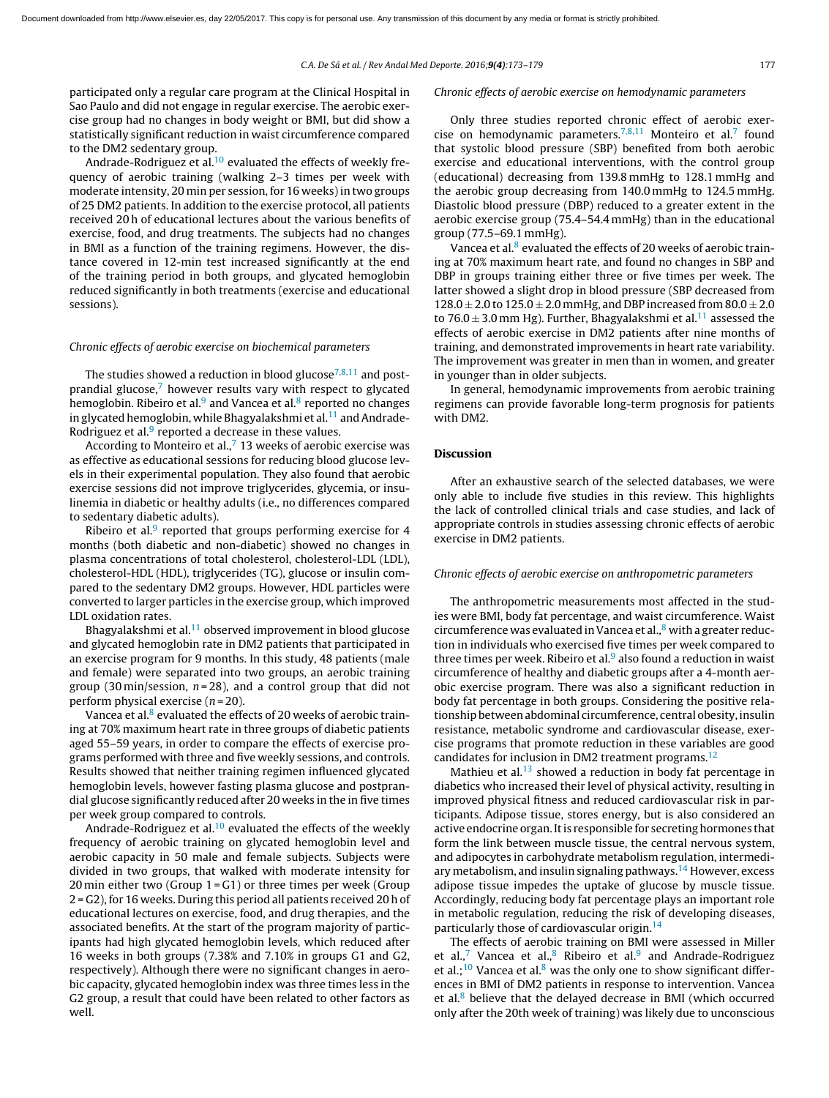participated only a regular care program at the Clinical Hospital in Sao Paulo and did not engage in regular exercise. The aerobic exercise group had no changes in body weight or BMI, but did show a statistically significant reduction in waist circumference compared to the DM2 sedentary group.

Andrade-Rodriguez et al.<sup>[10](#page-6-0)</sup> evaluated the effects of weekly frequency of aerobic training (walking 2–3 times per week with moderate intensity, 20 min per session, for 16 weeks)in two groups of 25 DM2 patients. In addition to the exercise protocol, all patients received 20 h of educational lectures about the various benefits of exercise, food, and drug treatments. The subjects had no changes in BMI as a function of the training regimens. However, the distance covered in 12-min test increased significantly at the end of the training period in both groups, and glycated hemoglobin reduced significantly in both treatments (exercise and educational sessions).

#### Chronic effects of aerobic exercise on biochemical parameters

The studies showed a reduction in blood glucose<sup>[7,8,11](#page-6-0)</sup> and postprandial glucose, $7$  however results vary with respect to glycated hemoglobin. Ribeiro et al.<sup>[9](#page-6-0)</sup> and Vancea et al.<sup>[8](#page-6-0)</sup> reported no changes in glycated hemoglobin, while Bhagyalakshmi et al. $^{11}$  $^{11}$  $^{11}$  and AndradeRod[r](#page-6-0)iguez et al.<sup>9</sup> reported a decrease in these values.

According to Monteiro et al., $7$  [1](#page-6-0)3 weeks of aerobic exercise was as effective as educational sessions for reducing blood glucose levels in their experimental population. They also found that aerobic exercise sessions did not improve triglycerides, glycemia, or insulinemia in diabetic or healthy adults (i.e., no differences compared to sedentary diabetic adults).

Ribeiro et al.<sup>[9](#page-6-0)</sup> reported that groups performing exercise for 4 months (both diabetic and non-diabetic) showed no changes in plasma concentrations of total cholesterol, cholesterol-LDL (LDL), cholesterol-HDL (HDL), triglycerides (TG), glucose or insulin compared to the sedentary DM2 groups. However, HDL particles were converted to larger particles in the exercise group, which improved LDL oxidation rates.

Bhagyalakshmi et al.<sup>[11](#page-6-0)</sup> observed improvement in blood glucose and glycated hemoglobin rate in DM2 patients that participated in an exercise program for 9 months. In this study, 48 patients (male and female) were separated into two groups, an aerobic training group (30 min/session,  $n = 28$ ), and a control group that did not perform physical exercise  $(n=20)$ .

Vanc[e](#page-6-0)a et al.<sup>8</sup> evaluated the effects of 20 weeks of aerobic training at 70% maximum heart rate in three groups of diabetic patients aged 55–59 years, in order to compare the effects of exercise programs performed with three and five weekly sessions, and controls. Results showed that neither training regimen influenced glycated hemoglobin levels, however fasting plasma glucose and postprandial glucose significantly reduced after 20 weeks in the in five times per week group compared to controls.

Andrade-Rodriguez et al. $10$  evaluated the effects of the weekly frequency of aerobic training on glycated hemoglobin level and aerobic capacity in 50 male and female subjects. Subjects were divided in two groups, that walked with moderate intensity for 20 min either two (Group  $1 = G1$ ) or three times per week (Group 2 = G2), for 16 weeks. During this period all patients received 20 h of educational lectures on exercise, food, and drug therapies, and the associated benefits. At the start of the program majority of participants had high glycated hemoglobin levels, which reduced after 16 weeks in both groups (7.38% and 7.10% in groups G1 and G2, respectively). Although there were no significant changes in aerobic capacity, glycated hemoglobin index was three times less in the G2 group, a result that could have been related to other factors as well.

#### Chronic effects of aerobic exercise on hemodynamic parameters

Only three studies reported chronic effect of aerobic exer-cise on hemodynamic parameters.<sup>[7,8,11](#page-6-0)</sup> Monteiro et al.<sup>[7](#page-6-0)</sup> found that systolic blood pressure (SBP) benefited from both aerobic exercise and educational interventions, with the control group (educational) decreasing from 139.8 mmHg to 128.1 mmHg and the aerobic group decreasing from 140.0 mmHg to 124.5 mmHg. Diastolic blood pressure (DBP) reduced to a greater extent in the aerobic exercise group (75.4–54.4 mmHg) than in the educational group (77.5–69.1 mmHg).

Vancea et al.<sup>[8](#page-6-0)</sup> evaluated the effects of 20 weeks of aerobic training at 70% maximum heart rate, and found no changes in SBP and DBP in groups training either three or five times per week. The latter showed a slight drop in blood pressure (SBP decreased from  $128.0 \pm 2.0$  to  $125.0 \pm 2.0$  mmHg, and DBP increased from  $80.0 \pm 2.0$ to 76.0  $\pm$  3.0 mm Hg). Further, Bhagyalakshmi et al.<sup>[11](#page-6-0)</sup> assessed the effects of aerobic exercise in DM2 patients after nine months of training, and demonstrated improvements in heart rate variability. The improvement was greater in men than in women, and greater in younger than in older subjects.

In general, hemodynamic improvements from aerobic training regimens can provide favorable long-term prognosis for patients with DM2.

#### Discussion

After an exhaustive search of the selected databases, we were only able to include five studies in this review. This highlights the lack of controlled clinical trials and case studies, and lack of appropriate controls in studies assessing chronic effects of aerobic exercise in DM2 patients.

#### Chronic effects of aerobic exercise on anthropometric parameters

The anthropometric measurements most affected in the studies were BMI, body fat percentage, and waist circumference. Waist circumference [w](#page-6-0)as evaluated in Vancea et al., $8$  with a greater reduction in individuals who exercised five times per week compared to three times per week. Ribeiro et [a](#page-6-0)l. $9$  also found a reduction in waist circumference of healthy and diabetic groups after a 4-month aerobic exercise program. There was also a significant reduction in body fat percentage in both groups. Considering the positive relationship between abdominal circumference, central obesity, insulin resistance, metabolic syndrome and cardiovascular disease, exercise programs that promote reduction in these variables are good candidates for inclusion in DM2 treatment programs.<sup>[12](#page-6-0)</sup>

Mathieu et al. $13$  showed a reduction in body fat percentage in diabetics who increased their level of physical activity, resulting in improved physical fitness and reduced cardiovascular risk in participants. Adipose tissue, stores energy, but is also considered an active endocrine organ. It is responsible for secreting hormones that form the link between muscle tissue, the central nervous system, and adipocytes in carbohydrate metabolism regulation, intermedi-ary metabolism, and insulin signaling pathways.<sup>[14](#page-6-0)</sup> However, excess adipose tissue impedes the uptake of glucose by muscle tissue. Accordingly, reducing body fat percentage plays an important role in metabolic regulation, reducing the risk of developing diseases, particularly those of cardiovascular origin.<sup>[14](#page-6-0)</sup>

The effects of aerobic training on BMI were assessed in Miller et al.,<sup>[7](#page-6-0)</sup> Vancea et al.,<sup>[8](#page-6-0)</sup> Ribeiro et al.<sup>[9](#page-6-0)</sup> and Andrade-Rodriguez et al.;<sup>[10](#page-6-0)</sup> Vancea et al. $8$  was the only one to show significant differences in BMI of DM2 patients in response to intervention. Vancea et al. $8$  believe that the delayed decrease in BMI (which occurred only after the 20th week of training) was likely due to unconscious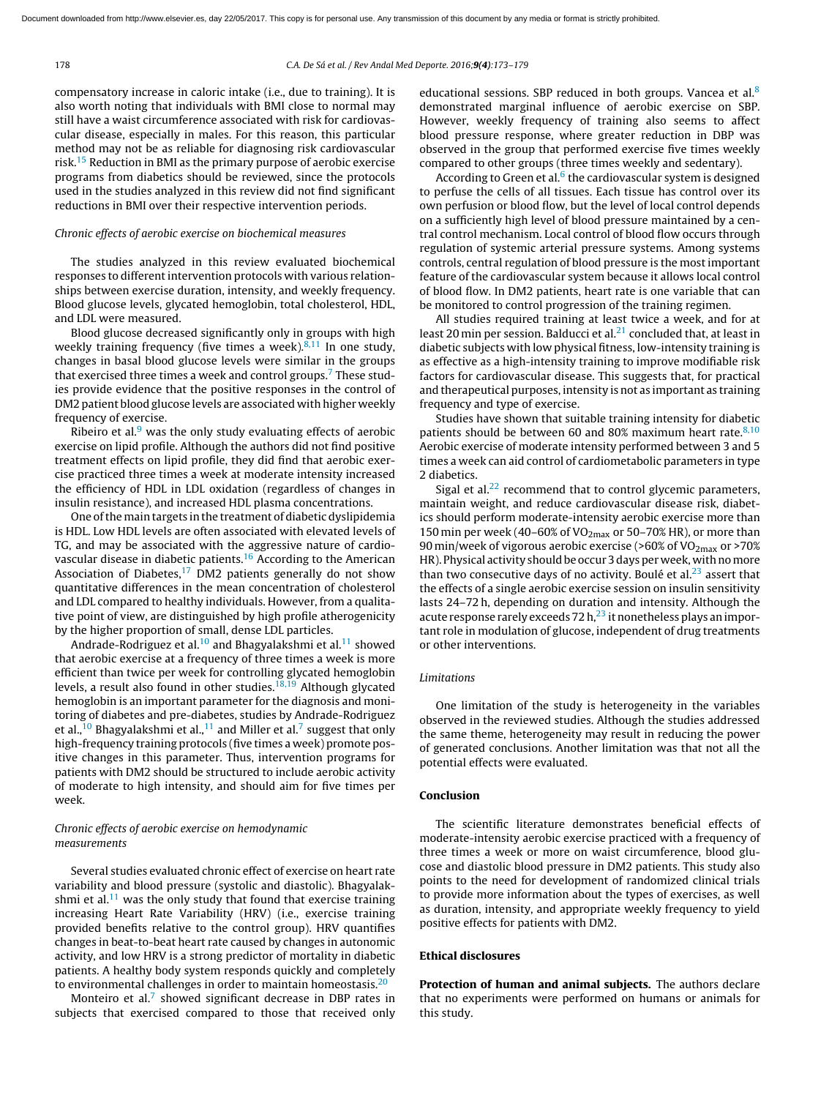compensatory increase in caloric intake (i.e., due to training). It is also worth noting that individuals with BMI close to normal may still have a waist circumference associated with risk for cardiovascular disease, especially in males. For this reason, this particular method may not be as reliable for diagnosing risk cardiovascular risk.[15](#page-6-0) Reduction in BMI as the primary purpose of aerobic exercise programs from diabetics should be reviewed, since the protocols used in the studies analyzed in this review did not find significant reductions in BMI over their respective intervention periods.

#### Chronic effects of aerobic exercise on biochemical measures

The studies analyzed in this review evaluated biochemical responses to different intervention protocols with various relationships between exercise duration, intensity, and weekly frequency. Blood glucose levels, glycated hemoglobin, total cholesterol, HDL, and LDL were measured.

Blood glucose decreased significantly only in groups with high weekly training frequency (five times a week). $8,11$  In one study, changes in basal blood glucose levels were similar in the groups that exercised three times a week and control groups.<sup>7</sup> [T](#page-6-0)hese studies provide evidence that the positive responses in the control of DM2 patient blood glucose levels are associated with higher weekly frequency of exercise.

Ribeiro et al. $9$  was the only study evaluating effects of aerobic exercise on lipid profile. Although the authors did not find positive treatment effects on lipid profile, they did find that aerobic exercise practiced three times a week at moderate intensity increased the efficiency of HDL in LDL oxidation (regardless of changes in insulin resistance), and increased HDL plasma concentrations.

One ofthe main targets in the treatment of diabetic dyslipidemia is HDL. Low HDL levels are often associated with elevated levels of TG, and may be associated with the aggressive nature of cardio-vascular disease in diabetic patients.<sup>[16](#page-6-0)</sup> According to the American Association of Diabetes, $17$  DM2 patients generally do not show quantitative differences in the mean concentration of cholesterol and LDL compared to healthy individuals. However, from a qualitative point of view, are distinguished by high profile atherogenicity by the higher proportion of small, dense LDL particles.

Andrade-Rodriguez et al.<sup>[10](#page-6-0)</sup> and Bhagyalakshmi et al.<sup>[11](#page-6-0)</sup> showed that aerobic exercise at a frequency of three times a week is more efficient than twice per week for controlling glycated hemoglobin levels, a result also found in other studies. $18,19$  Although glycated hemoglobin is an important parameter for the diagnosis and monitoring of diabetes and pre-diabetes, studies by Andrade-Rodriguez et al.,<sup>[10](#page-6-0)</sup> Bhagyalakshmi et al.,<sup>[11](#page-6-0)</sup> and Miller et al.<sup>[7](#page-6-0)</sup> suggest that only high-frequency training protocols (five times a week) promote positive changes in this parameter. Thus, intervention programs for patients with DM2 should be structured to include aerobic activity of moderate to high intensity, and should aim for five times per week.

# Chronic effects of aerobic exercise on hemodynamic measurements

Several studies evaluated chronic effect of exercise on heart rate variability and blood pressure (systolic and diastolic). Bhagyalakshmi et al. $<sup>11</sup>$  $<sup>11</sup>$  $<sup>11</sup>$  was the only study that found that exercise training</sup> increasing Heart Rate Variability (HRV) (i.e., exercise training provided benefits relative to the control group). HRV quantifies changes in beat-to-beat heart rate caused by changes in autonomic activity, and low HRV is a strong predictor of mortality in diabetic patients. A healthy body system responds quickly and completely to environmental challenges in order to maintain homeostasis.<sup>[20](#page-6-0)</sup>

Monteiro et al.<sup>[7](#page-6-0)</sup> showed significant decrease in DBP rates in subjects that exercised compared to those that received only educational sessions. SBP reduced in both groups. Vancea et al. $8$ demonstrated marginal influence of aerobic exercise on SBP. However, weekly frequency of training also seems to affect blood pressure response, where greater reduction in DBP was observed in the group that performed exercise five times weekly compared to other groups (three times weekly and sedentary).

According to Green et al.<sup>[6](#page-6-0)</sup> the cardiovascular system is designed to perfuse the cells of all tissues. Each tissue has control over its own perfusion or blood flow, but the level of local control depends on a sufficiently high level of blood pressure maintained by a central control mechanism. Local control of blood flow occurs through regulation of systemic arterial pressure systems. Among systems controls, central regulation of blood pressure is the most important feature of the cardiovascular system because it allows local control of blood flow. In DM2 patients, heart rate is one variable that can be monitored to control progression of the training regimen.

All studies required training at least twice a week, and for at least 20 min per session. Balducci et al. $^{21}$  $^{21}$  $^{21}$  concluded that, at least in diabetic subjects with low physical fitness, low-intensity training is as effective as a high-intensity training to improve modifiable risk factors for cardiovascular disease. This suggests that, for practical and therapeutical purposes, intensity is not as important as training frequency and type of exercise.

Studies have shown that suitable training intensity for diabetic patients should be between 60 and 80% maximum heart rate. $8,10$ Aerobic exercise of moderate intensity performed between 3 and 5 times a week can aid control of cardiometabolic parameters in type 2 diabetics.

Sigal et al. $22$  recommend that to control glycemic parameters, maintain weight, and reduce cardiovascular disease risk, diabetics should perform moderate-intensity aerobic exercise more than 150 min per week (40–60% of VO<sub>2max</sub> or 50–70% HR), or more than 90 min/week of vigorous aerobic exercise (>60% of VO<sub>2max</sub> or >70% HR). Physical activity should be occur 3 days per week, with no more than two consecutive days of no activity. Boulé et al. $^{23}$  $^{23}$  $^{23}$  assert that the effects of a single aerobic exercise session on insulin sensitivity lasts 24–72 h, depending on duration and intensity. Although the acute response rarely exceeds 72  $h<sup>23</sup>$  $h<sup>23</sup>$  $h<sup>23</sup>$  it nonetheless plays an important role in modulation of glucose, independent of drug treatments or other interventions.

#### Limitations

One limitation of the study is heterogeneity in the variables observed in the reviewed studies. Although the studies addressed the same theme, heterogeneity may result in reducing the power of generated conclusions. Another limitation was that not all the potential effects were evaluated.

### Conclusion

The scientific literature demonstrates beneficial effects of moderate-intensity aerobic exercise practiced with a frequency of three times a week or more on waist circumference, blood glucose and diastolic blood pressure in DM2 patients. This study also points to the need for development of randomized clinical trials to provide more information about the types of exercises, as well as duration, intensity, and appropriate weekly frequency to yield positive effects for patients with DM2.

#### Ethical disclosures

Protection of human and animal subjects. The authors declare that no experiments were performed on humans or animals for this study.